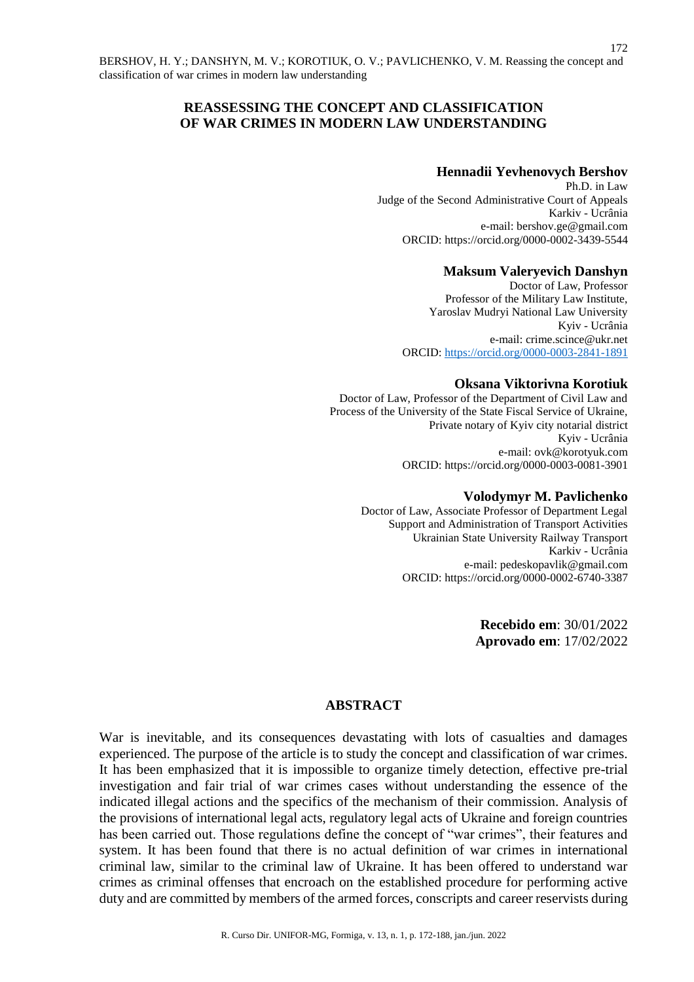# **REASSESSING THE CONCEPT AND CLASSIFICATION OF WAR CRIMES IN MODERN LAW UNDERSTANDING**

## **Hennadii Yevhenovych Bershov**

Ph.D. in Law Judge of the Second Administrative Court of Appeals Karkiv - Ucrânia e-mail: [bershov.ge@gmail.com](mailto:bershov.ge@gmail.com) ORCID:<https://orcid.org/0000-0002-3439-5544>

### **Maksum Valeryevich Danshyn**

Doctor of Law, Professor Professor of the Military Law Institute, Yaroslav Mudryi National Law University Kyiv - Ucrânia e-mail: [crime.scince@ukr.net](mailto:crime.scince@ukr.net) ORCID:<https://orcid.org/0000-0003-2841-1891>

### **Oksana Viktorivna Korotiuk**

Doctor of Law, Professor of the Department of Civil Law and Process of the University of the State Fiscal Service of Ukraine, Private notary of Kyiv city notarial district Kyiv - Ucrânia e-mail: [ovk@korotyuk.com](mailto:ovk@korotyuk.com) ORCID: https://orcid.org/0000-0003-0081-3901

#### **Volodymyr M. Pavlichenko**

Doctor of Law, Associate Professor of Department Legal Support and Administration of Transport Activities Ukrainian State University Railway Transport Karkiv - Ucrânia e-mail: pedeskopavlik@gmail.com ORCID:<https://orcid.org/0000-0002-6740-3387>

> **Recebido em**: 30/01/2022 **Aprovado em**: 17/02/2022

## **ABSTRACT**

War is inevitable, and its consequences devastating with lots of casualties and damages experienced. The purpose of the article is to study the concept and classification of war crimes. It has been emphasized that it is impossible to organize timely detection, effective pre-trial investigation and fair trial of war crimes cases without understanding the essence of the indicated illegal actions and the specifics of the mechanism of their commission. Analysis of the provisions of international legal acts, regulatory legal acts of Ukraine and foreign countries has been carried out. Those regulations define the concept of "war crimes", their features and system. It has been found that there is no actual definition of war crimes in international criminal law, similar to the criminal law of Ukraine. It has been offered to understand war crimes as criminal offenses that encroach on the established procedure for performing active duty and are committed by members of the armed forces, conscripts and career reservists during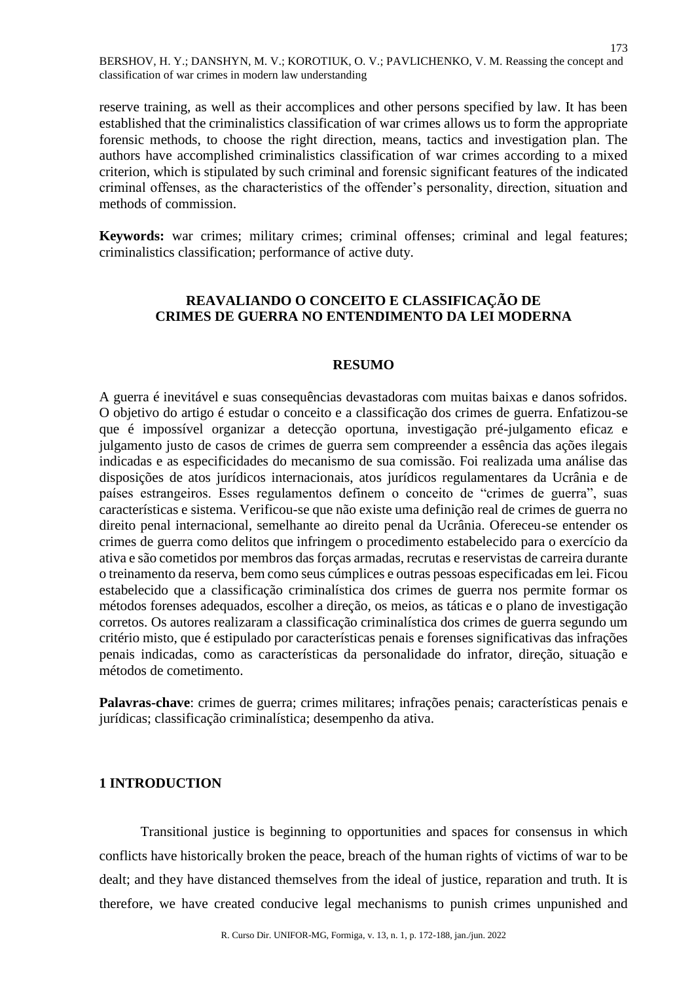173

reserve training, as well as their accomplices and other persons specified by law. It has been established that the criminalistics classification of war crimes allows us to form the appropriate forensic methods, to choose the right direction, means, tactics and investigation plan. The authors have accomplished criminalistics classification of war crimes according to a mixed criterion, which is stipulated by such criminal and forensic significant features of the indicated criminal offenses, as the characteristics of the offender's personality, direction, situation and methods of commission.

**Keywords:** war crimes; military crimes; criminal offenses; criminal and legal features; criminalistics classification; performance of active duty.

# **REAVALIANDO O CONCEITO E CLASSIFICAÇÃO DE CRIMES DE GUERRA NO ENTENDIMENTO DA LEI MODERNA**

### **RESUMO**

A guerra é inevitável e suas consequências devastadoras com muitas baixas e danos sofridos. O objetivo do artigo é estudar o conceito e a classificação dos crimes de guerra. Enfatizou-se que é impossível organizar a detecção oportuna, investigação pré-julgamento eficaz e julgamento justo de casos de crimes de guerra sem compreender a essência das ações ilegais indicadas e as especificidades do mecanismo de sua comissão. Foi realizada uma análise das disposições de atos jurídicos internacionais, atos jurídicos regulamentares da Ucrânia e de países estrangeiros. Esses regulamentos definem o conceito de "crimes de guerra", suas características e sistema. Verificou-se que não existe uma definição real de crimes de guerra no direito penal internacional, semelhante ao direito penal da Ucrânia. Ofereceu-se entender os crimes de guerra como delitos que infringem o procedimento estabelecido para o exercício da ativa e são cometidos por membros das forças armadas, recrutas e reservistas de carreira durante o treinamento da reserva, bem como seus cúmplices e outras pessoas especificadas em lei. Ficou estabelecido que a classificação criminalística dos crimes de guerra nos permite formar os métodos forenses adequados, escolher a direção, os meios, as táticas e o plano de investigação corretos. Os autores realizaram a classificação criminalística dos crimes de guerra segundo um critério misto, que é estipulado por características penais e forenses significativas das infrações penais indicadas, como as características da personalidade do infrator, direção, situação e métodos de cometimento.

**Palavras-chave**: crimes de guerra; crimes militares; infrações penais; características penais e jurídicas; classificação criminalística; desempenho da ativa.

## **1 INTRODUCTION**

Transitional justice is beginning to opportunities and spaces for consensus in which conflicts have historically broken the peace, breach of the human rights of victims of war to be dealt; and they have distanced themselves from the ideal of justice, reparation and truth. It is therefore, we have created conducive legal mechanisms to punish crimes unpunished and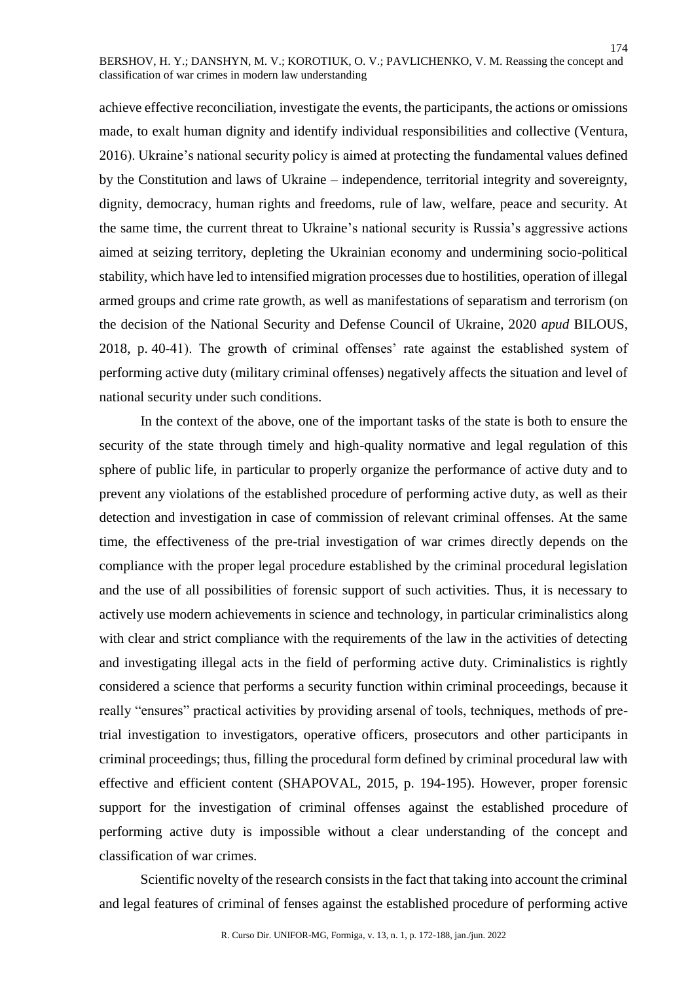achieve effective reconciliation, investigate the events, the participants, the actions or omissions made, to exalt human dignity and identify individual responsibilities and collective (Ventura, 2016). Ukraine's national security policy is aimed at protecting the fundamental values defined by the Constitution and laws of Ukraine – independence, territorial integrity and sovereignty, dignity, democracy, human rights and freedoms, rule of law, welfare, peace and security. At the same time, the current threat to Ukraine's national security is Russia's aggressive actions aimed at seizing territory, depleting the Ukrainian economy and undermining socio-political stability, which have led to intensified migration processes due to hostilities, operation of illegal armed groups and crime rate growth, as well as manifestations of separatism and terrorism (on the decision of the National Security and Defense Council of Ukraine, 2020 *apud* BILOUS, 2018, p. 40-41). The growth of criminal offenses' rate against the established system of performing active duty (military criminal offenses) negatively affects the situation and level of national security under such conditions.

In the context of the above, one of the important tasks of the state is both to ensure the security of the state through timely and high-quality normative and legal regulation of this sphere of public life, in particular to properly organize the performance of active duty and to prevent any violations of the established procedure of performing active duty, as well as their detection and investigation in case of commission of relevant criminal offenses. At the same time, the effectiveness of the pre-trial investigation of war crimes directly depends on the compliance with the proper legal procedure established by the criminal procedural legislation and the use of all possibilities of forensic support of such activities. Thus, it is necessary to actively use modern achievements in science and technology, in particular criminalistics along with clear and strict compliance with the requirements of the law in the activities of detecting and investigating illegal acts in the field of performing active duty. Criminalistics is rightly considered a science that performs a security function within criminal proceedings, because it really "ensures" practical activities by providing arsenal of tools, techniques, methods of pretrial investigation to investigators, operative officers, prosecutors and other participants in criminal proceedings; thus, filling the procedural form defined by criminal procedural law with effective and efficient content (SHAPOVAL, 2015, p. 194-195). However, proper forensic support for the investigation of criminal offenses against the established procedure of performing active duty is impossible without a clear understanding of the concept and classification of war crimes.

Scientific novelty of the research consists in the fact that taking into account the criminal and legal features of criminal of fenses against the established procedure of performing active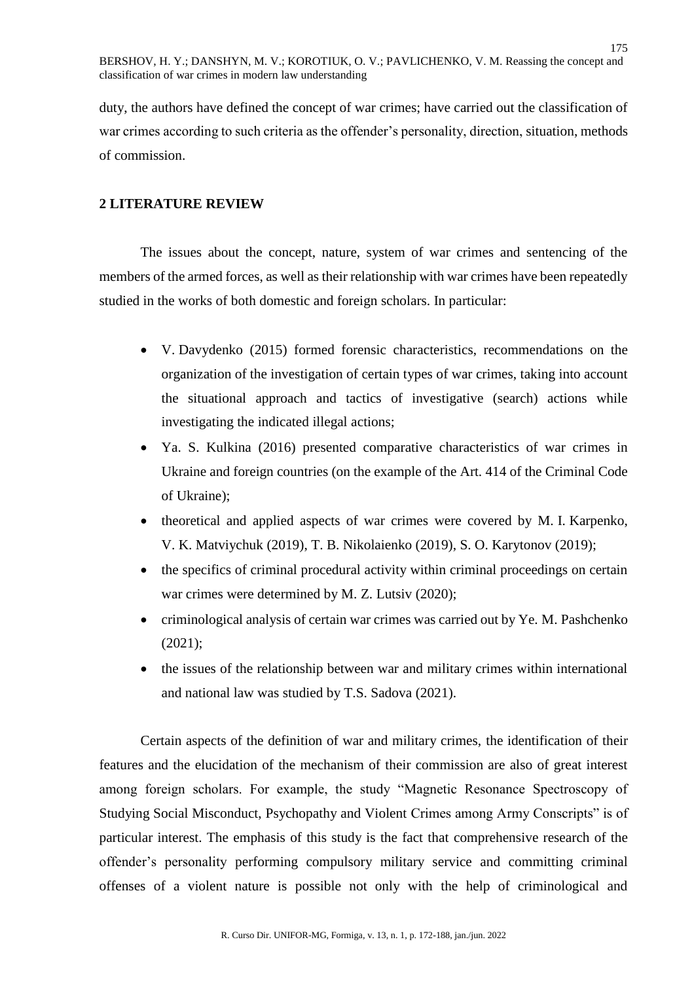duty, the authors have defined the concept of war crimes; have carried out the classification of war crimes according to such criteria as the offender's personality, direction, situation, methods of commission.

# **2 LITERATURE REVIEW**

The issues about the concept, nature, system of war crimes and sentencing of the members of the armed forces, as well as their relationship with war crimes have been repeatedly studied in the works of both domestic and foreign scholars. In particular:

- V. Davydenko (2015) formed forensic characteristics, recommendations on the organization of the investigation of certain types of war crimes, taking into account the situational approach and tactics of investigative (search) actions while investigating the indicated illegal actions;
- Ya. S. Kulkina (2016) presented comparative characteristics of war crimes in Ukraine and foreign countries (on the example of the Art. 414 of the Criminal Code of Ukraine);
- theoretical and applied aspects of war crimes were covered by M. I. Karpenko, V. K. Matviychuk (2019), T. B. Nikolaienko (2019), S. O. Karytonov (2019);
- the specifics of criminal procedural activity within criminal proceedings on certain war crimes were determined by M. Z. Lutsiv (2020);
- criminological analysis of certain war crimes was carried out by Ye. M. Pashchenko (2021);
- the issues of the relationship between war and military crimes within international and national law was studied by T.S. Sadova (2021).

Certain aspects of the definition of war and military crimes, the identification of their features and the elucidation of the mechanism of their commission are also of great interest among foreign scholars. For example, the study "Magnetic Resonance Spectroscopy of Studying Social Misconduct, Psychopathy and Violent Crimes among Army Conscripts" is of particular interest. The emphasis of this study is the fact that comprehensive research of the offender's personality performing compulsory military service and committing criminal offenses of a violent nature is possible not only with the help of criminological and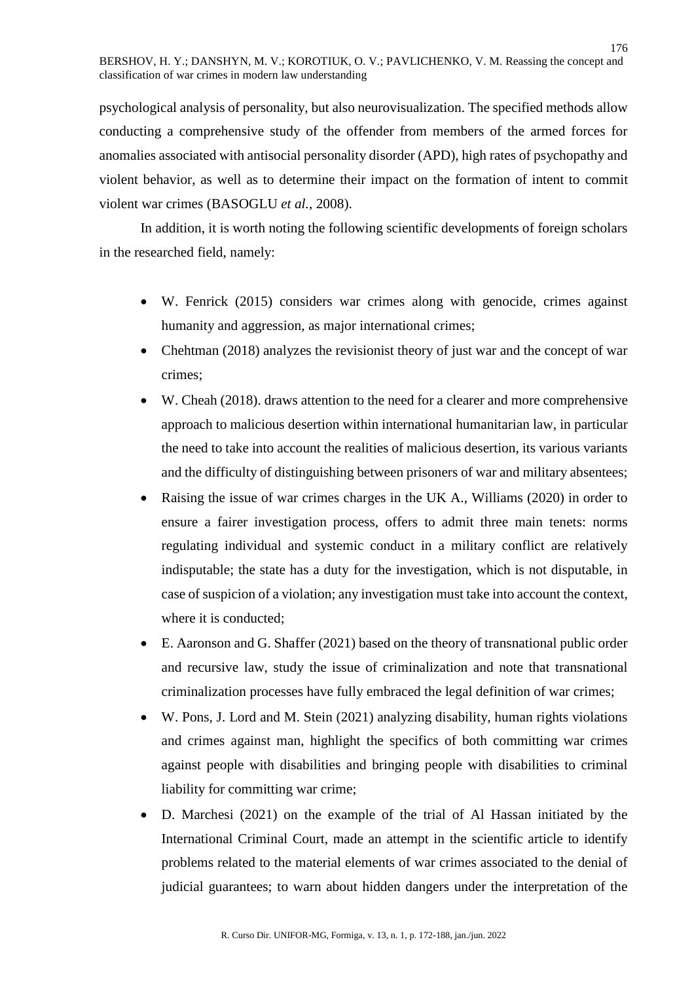psychological analysis of personality, but also neurovisualization. The specified methods allow conducting a comprehensive study of the offender from members of the armed forces for anomalies associated with antisocial personality disorder (APD), high rates of psychopathy and violent behavior, as well as to determine their impact on the formation of intent to commit violent war crimes (BASOGLU *et al.*, 2008).

In addition, it is worth noting the following scientific developments of foreign scholars in the researched field, namely:

- W. Fenrick (2015) considers war crimes along with genocide, crimes against humanity and aggression, as major international crimes;
- Chehtman (2018) analyzes the revisionist theory of just war and the concept of war crimes;
- W. Cheah (2018). draws attention to the need for a clearer and more comprehensive approach to malicious desertion within international humanitarian law, in particular the need to take into account the realities of malicious desertion, its various variants and the difficulty of distinguishing between prisoners of war and military absentees;
- Raising the issue of war crimes charges in the UK A., Williams (2020) in order to ensure a fairer investigation process, offers to admit three main tenets: norms regulating individual and systemic conduct in a military conflict are relatively indisputable; the state has a duty for the investigation, which is not disputable, in case of suspicion of a violation; any investigation must take into account the context, where it is conducted;
- E. Aaronson and G. Shaffer (2021) based on the theory of transnational public order and recursive law, study the issue of criminalization and note that transnational criminalization processes have fully embraced the legal definition of war crimes;
- W. Pons, J. Lord and M. Stein (2021) analyzing disability, human rights violations and crimes against man, highlight the specifics of both committing war crimes against people with disabilities and bringing people with disabilities to criminal liability for committing war crime;
- D. Marchesi (2021) on the example of the trial of Al Hassan initiated by the International Criminal Court, made an attempt in the scientific article to identify problems related to the material elements of war crimes associated to the denial of judicial guarantees; to warn about hidden dangers under the interpretation of the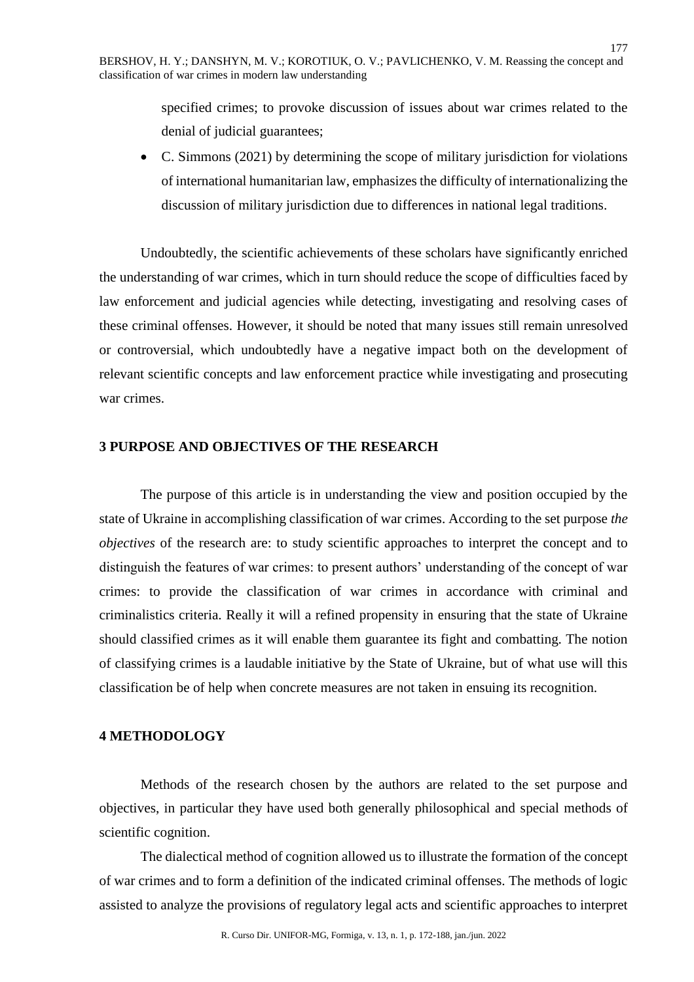specified crimes; to provoke discussion of issues about war crimes related to the denial of judicial guarantees;

177

 C. Simmons (2021) by determining the scope of military jurisdiction for violations of international humanitarian law, emphasizes the difficulty of internationalizing the discussion of military jurisdiction due to differences in national legal traditions.

Undoubtedly, the scientific achievements of these scholars have significantly enriched the understanding of war crimes, which in turn should reduce the scope of difficulties faced by law enforcement and judicial agencies while detecting, investigating and resolving cases of these criminal offenses. However, it should be noted that many issues still remain unresolved or controversial, which undoubtedly have a negative impact both on the development of relevant scientific concepts and law enforcement practice while investigating and prosecuting war crimes.

# **3 PURPOSE AND OBJECTIVES OF THE RESEARCH**

The purpose of this article is in understanding the view and position occupied by the state of Ukraine in accomplishing classification of war crimes. According to the set purpose *the objectives* of the research are: to study scientific approaches to interpret the concept and to distinguish the features of war crimes: to present authors' understanding of the concept of war crimes: to provide the classification of war crimes in accordance with criminal and criminalistics criteria. Really it will a refined propensity in ensuring that the state of Ukraine should classified crimes as it will enable them guarantee its fight and combatting. The notion of classifying crimes is a laudable initiative by the State of Ukraine, but of what use will this classification be of help when concrete measures are not taken in ensuing its recognition.

# **4 METHODOLOGY**

Methods of the research chosen by the authors are related to the set purpose and objectives, in particular they have used both generally philosophical and special methods of scientific cognition.

The dialectical method of cognition allowed us to illustrate the formation of the concept of war crimes and to form a definition of the indicated criminal offenses. The methods of logic assisted to analyze the provisions of regulatory legal acts and scientific approaches to interpret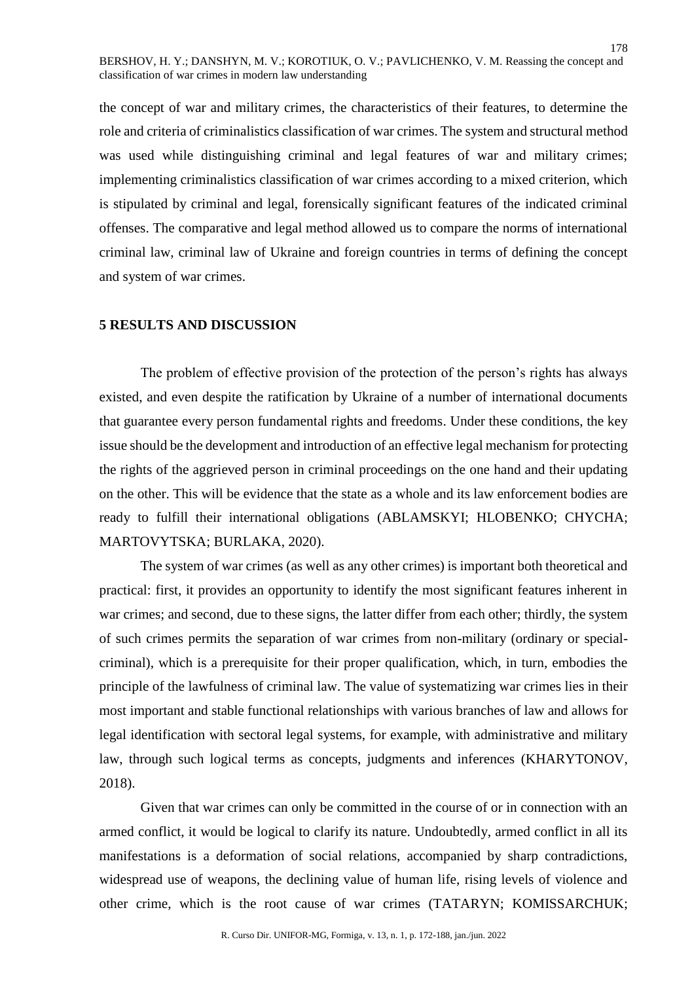the concept of war and military crimes, the characteristics of their features, to determine the role and criteria of criminalistics classification of war crimes. The system and structural method was used while distinguishing criminal and legal features of war and military crimes; implementing criminalistics classification of war crimes according to a mixed criterion, which is stipulated by criminal and legal, forensically significant features of the indicated criminal offenses. The comparative and legal method allowed us to compare the norms of international criminal law, criminal law of Ukraine and foreign countries in terms of defining the concept and system of war crimes.

# **5 RESULTS AND DISCUSSION**

The problem of effective provision of the protection of the person's rights has always existed, and even despite the ratification by Ukraine of a number of international documents that guarantee every person fundamental rights and freedoms. Under these conditions, the key issue should be the development and introduction of an effective legal mechanism for protecting the rights of the aggrieved person in criminal proceedings on the one hand and their updating on the other. This will be evidence that the state as a whole and its law enforcement bodies are ready to fulfill their international obligations (ABLAMSKYI; HLOBENKO; CHYCHA; MARTOVYTSKA; BURLAKA, 2020).

The system of war crimes (as well as any other crimes) is important both theoretical and practical: first, it provides an opportunity to identify the most significant features inherent in war crimes; and second, due to these signs, the latter differ from each other; thirdly, the system of such crimes permits the separation of war crimes from non-military (ordinary or specialcriminal), which is a prerequisite for their proper qualification, which, in turn, embodies the principle of the lawfulness of criminal law. The value of systematizing war crimes lies in their most important and stable functional relationships with various branches of law and allows for legal identification with sectoral legal systems, for example, with administrative and military law, through such logical terms as concepts, judgments and inferences (KHARYTONOV, 2018).

Given that war crimes can only be committed in the course of or in connection with an armed conflict, it would be logical to clarify its nature. Undoubtedly, armed conflict in all its manifestations is a deformation of social relations, accompanied by sharp contradictions, widespread use of weapons, the declining value of human life, rising levels of violence and other crime, which is the root cause of war crimes (TATARYN; KOMISSARCHUK;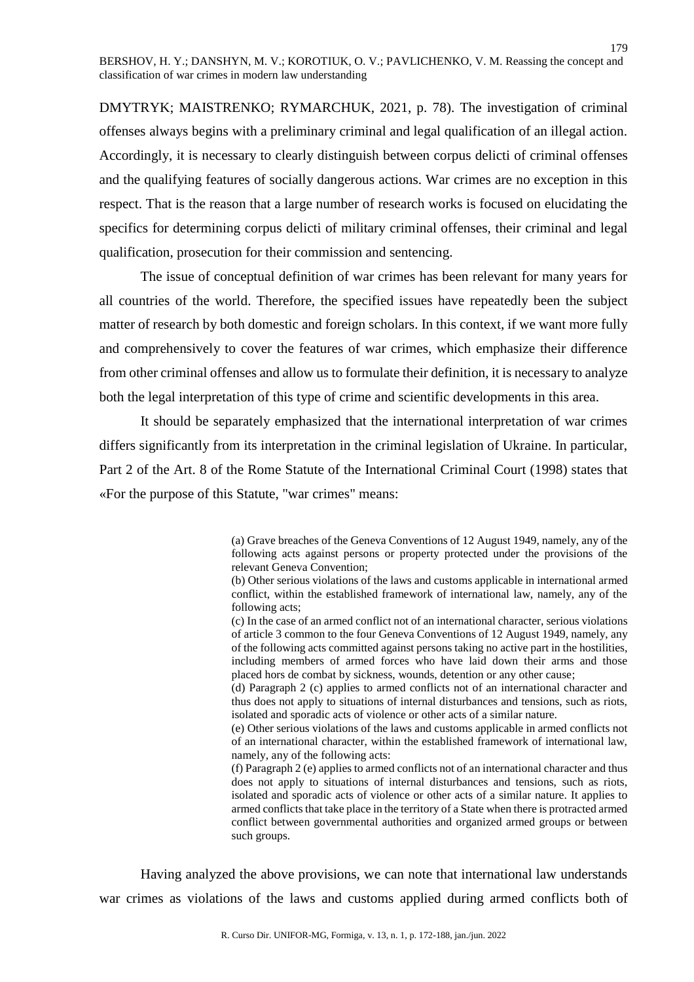DMYTRYK; MAISTRENKO; RYMARCHUK, 2021, p. 78). The investigation of criminal offenses always begins with a preliminary criminal and legal qualification of an illegal action. Accordingly, it is necessary to clearly distinguish between corpus delicti of criminal offenses and the qualifying features of socially dangerous actions. War crimes are no exception in this respect. That is the reason that a large number of research works is focused on elucidating the specifics for determining corpus delicti of military criminal offenses, their criminal and legal qualification, prosecution for their commission and sentencing.

The issue of conceptual definition of war crimes has been relevant for many years for all countries of the world. Therefore, the specified issues have repeatedly been the subject matter of research by both domestic and foreign scholars. In this context, if we want more fully and comprehensively to cover the features of war crimes, which emphasize their difference from other criminal offenses and allow us to formulate their definition, it is necessary to analyze both the legal interpretation of this type of crime and scientific developments in this area.

It should be separately emphasized that the international interpretation of war crimes differs significantly from its interpretation in the criminal legislation of Ukraine. In particular, Part 2 of the Art. 8 of the Rome Statute of the International Criminal Court (1998) states that «For the purpose of this Statute, "war crimes" means:

> (a) Grave breaches of the Geneva Conventions of 12 August 1949, namely, any of the following acts against persons or property protected under the provisions of the relevant Geneva Convention;

> (b) Other serious violations of the laws and customs applicable in international armed conflict, within the established framework of international law, namely, any of the following acts;

> (c) In the case of an armed conflict not of an international character, serious violations of article 3 common to the four Geneva Conventions of 12 August 1949, namely, any of the following acts committed against persons taking no active part in the hostilities, including members of armed forces who have laid down their arms and those placed hors de combat by sickness, wounds, detention or any other cause;

> (d) Paragraph 2 (c) applies to armed conflicts not of an international character and thus does not apply to situations of internal disturbances and tensions, such as riots, isolated and sporadic acts of violence or other acts of a similar nature.

> (e) Other serious violations of the laws and customs applicable in armed conflicts not of an international character, within the established framework of international law, namely, any of the following acts:

> (f) Paragraph 2 (e) applies to armed conflicts not of an international character and thus does not apply to situations of internal disturbances and tensions, such as riots, isolated and sporadic acts of violence or other acts of a similar nature. It applies to armed conflicts that take place in the territory of a State when there is protracted armed conflict between governmental authorities and organized armed groups or between such groups.

Having analyzed the above provisions, we can note that international law understands war crimes as violations of the laws and customs applied during armed conflicts both of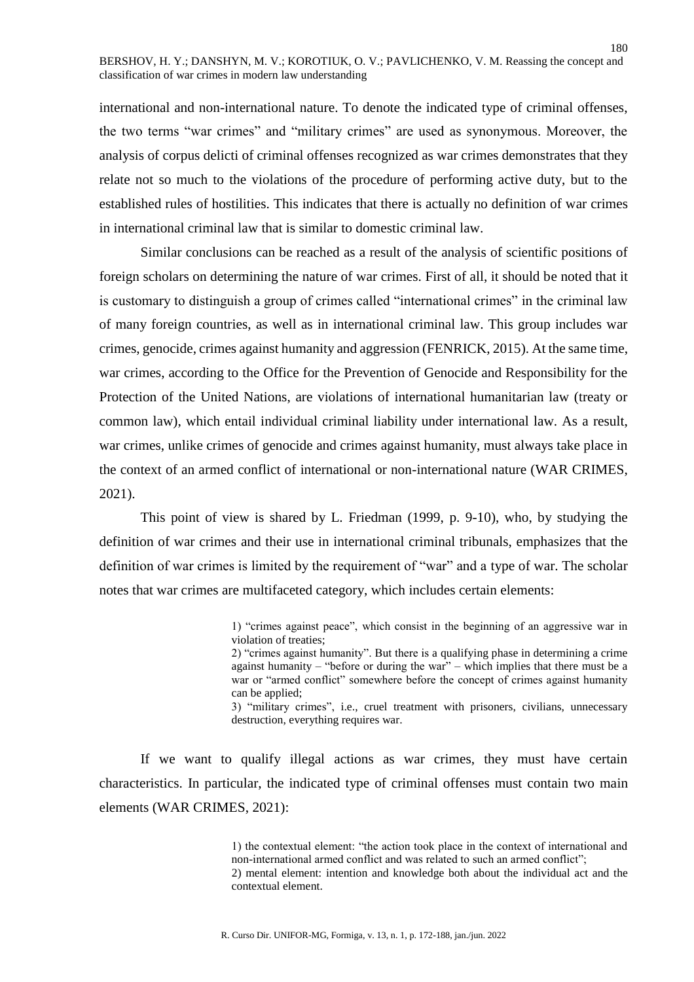international and non-international nature. To denote the indicated type of criminal offenses, the two terms "war crimes" and "military crimes" are used as synonymous. Moreover, the analysis of corpus delicti of criminal offenses recognized as war crimes demonstrates that they relate not so much to the violations of the procedure of performing active duty, but to the established rules of hostilities. This indicates that there is actually no definition of war crimes in international criminal law that is similar to domestic criminal law.

Similar conclusions can be reached as a result of the analysis of scientific positions of foreign scholars on determining the nature of war crimes. First of all, it should be noted that it is customary to distinguish a group of crimes called "international crimes" in the criminal law of many foreign countries, as well as in international criminal law. This group includes war crimes, genocide, crimes against humanity and aggression (FENRICK, 2015). At the same time, war crimes, according to the Office for the Prevention of Genocide and Responsibility for the Protection of the United Nations, are violations of international humanitarian law (treaty or common law), which entail individual criminal liability under international law. As a result, war crimes, unlike crimes of genocide and crimes against humanity, must always take place in the context of an armed conflict of international or non-international nature (WAR CRIMES, 2021).

This point of view is shared by L. Friedman (1999, p. 9-10), who, by studying the definition of war crimes and their use in international criminal tribunals, emphasizes that the definition of war crimes is limited by the requirement of "war" and a type of war. The scholar notes that war crimes are multifaceted category, which includes certain elements:

> 1) "crimes against peace", which consist in the beginning of an aggressive war in violation of treaties;

> 2) "crimes against humanity". But there is a qualifying phase in determining a crime against humanity – "before or during the war" – which implies that there must be a war or "armed conflict" somewhere before the concept of crimes against humanity can be applied;

> 3) "military crimes", i.e., cruel treatment with prisoners, civilians, unnecessary destruction, everything requires war.

If we want to qualify illegal actions as war crimes, they must have certain characteristics. In particular, the indicated type of criminal offenses must contain two main elements (WAR CRIMES, 2021):

> 1) the contextual element: "the action took place in the context of international and non-international armed conflict and was related to such an armed conflict"; 2) mental element: intention and knowledge both about the individual act and the contextual element.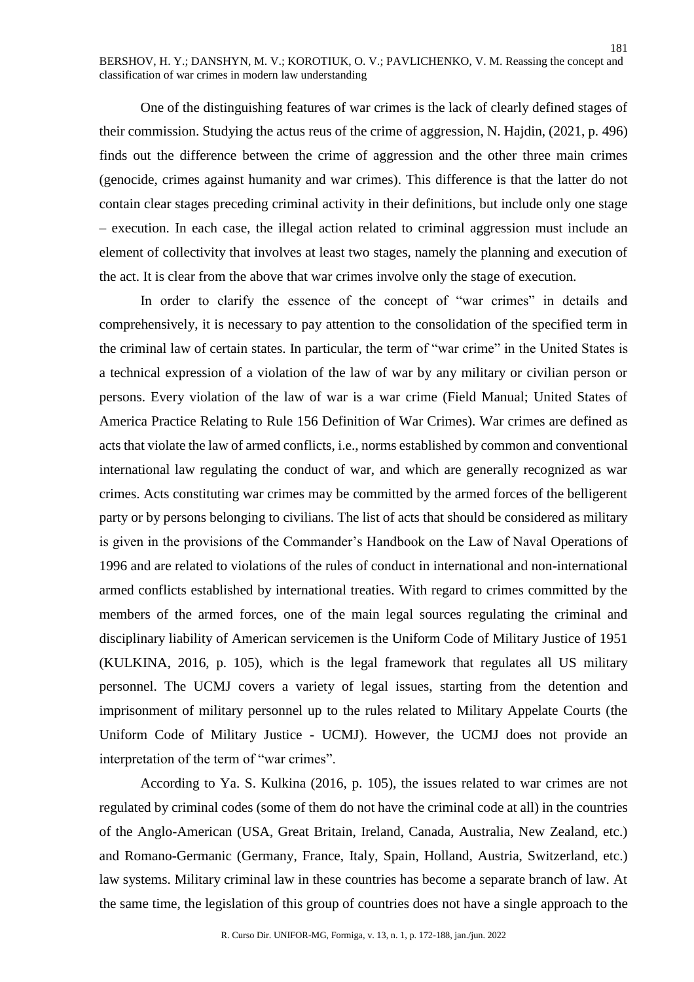One of the distinguishing features of war crimes is the lack of clearly defined stages of their commission. Studying the actus reus of the crime of aggression, N. Hajdin, (2021, p. 496) finds out the difference between the crime of aggression and the other three main crimes (genocide, crimes against humanity and war crimes). This difference is that the latter do not contain clear stages preceding criminal activity in their definitions, but include only one stage – execution. In each case, the illegal action related to criminal aggression must include an element of collectivity that involves at least two stages, namely the planning and execution of the act. It is clear from the above that war crimes involve only the stage of execution.

In order to clarify the essence of the concept of "war crimes" in details and comprehensively, it is necessary to pay attention to the consolidation of the specified term in the criminal law of certain states. In particular, the term of "war crime" in the United States is a technical expression of a violation of the law of war by any military or civilian person or persons. Every violation of the law of war is a war crime (Field Manual; United States of America Practice Relating to Rule 156 Definition of War Crimes). War crimes are defined as acts that violate the law of armed conflicts, i.e., norms established by common and conventional international law regulating the conduct of war, and which are generally recognized as war crimes. Acts constituting war crimes may be committed by the armed forces of the belligerent party or by persons belonging to civilians. The list of acts that should be considered as military is given in the provisions of the Commander's Handbook on the Law of Naval Operations of 1996 and are related to violations of the rules of conduct in international and non-international armed conflicts established by international treaties. With regard to crimes committed by the members of the armed forces, one of the main legal sources regulating the criminal and disciplinary liability of American servicemen is the Uniform Code of Military Justice of 1951 (KULKINA, 2016, p. 105), which is the legal framework that regulates all US military personnel. The UCMJ covers a variety of legal issues, starting from the detention and imprisonment of military personnel up to the rules related to Military Appelate Courts (the Uniform Code of Military Justice - UCMJ). However, the UCMJ does not provide an interpretation of the term of "war crimes".

According to Ya. S. Kulkina (2016, p. 105), the issues related to war crimes are not regulated by criminal codes (some of them do not have the criminal code at all) in the countries of the Anglo-American (USA, Great Britain, Ireland, Canada, Australia, New Zealand, etc.) and Romano-Germanic (Germany, France, Italy, Spain, Holland, Austria, Switzerland, etc.) law systems. Military criminal law in these countries has become a separate branch of law. At the same time, the legislation of this group of countries does not have a single approach to the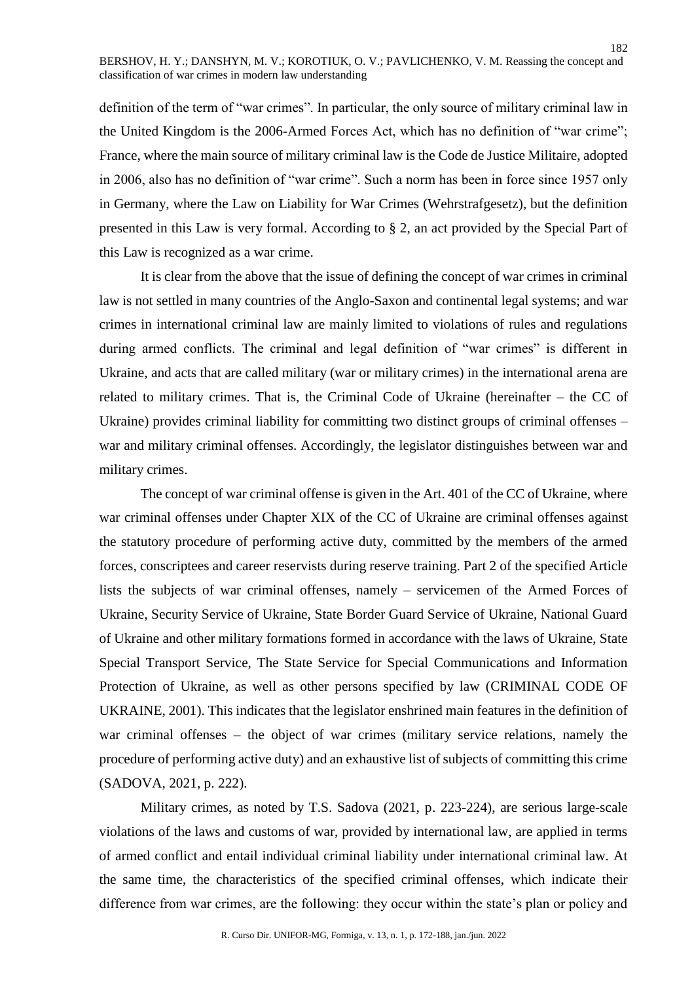definition of the term of "war crimes". In particular, the only source of military criminal law in the United Kingdom is the 2006-Armed Forces Act, which has no definition of "war crime"; France, where the main source of military criminal law is the Code de Justice Militaire, adopted in 2006, also has no definition of "war crime". Such a norm has been in force since 1957 only in Germany, where the Law on Liability for War Crimes (Wehrstrafgesetz), but the definition presented in this Law is very formal. According to § 2, an act provided by the Special Part of this Law is recognized as a war crime.

It is clear from the above that the issue of defining the concept of war crimes in criminal law is not settled in many countries of the Anglo-Saxon and continental legal systems; and war crimes in international criminal law are mainly limited to violations of rules and regulations during armed conflicts. The criminal and legal definition of "war crimes" is different in Ukraine, and acts that are called military (war or military crimes) in the international arena are related to military crimes. That is, the Criminal Code of Ukraine (hereinafter – the CC of Ukraine) provides criminal liability for committing two distinct groups of criminal offenses – war and military criminal offenses. Accordingly, the legislator distinguishes between war and military crimes.

The concept of war criminal offense is given in the Art. 401 of the CC of Ukraine, where war criminal offenses under Chapter XIX of the CC of Ukraine are criminal offenses against the statutory procedure of performing active duty, committed by the members of the armed forces, conscriptees and career reservists during reserve training. Part 2 of the specified Article lists the subjects of war criminal offenses, namely – servicemen of the Armed Forces of Ukraine, Security Service of Ukraine, State Border Guard Service of Ukraine, National Guard of Ukraine and other military formations formed in accordance with the laws of Ukraine, State Special Transport Service, The State Service for Special Communications and Information Protection of Ukraine, as well as other persons specified by law (CRIMINAL CODE OF UKRAINE, 2001). This indicates that the legislator enshrined main features in the definition of war criminal offenses – the object of war crimes (military service relations, namely the procedure of performing active duty) and an exhaustive list of subjects of committing this crime (SADOVA, 2021, p. 222).

Military crimes, as noted by T.S. Sadova (2021, p. 223-224), are serious large-scale violations of the laws and customs of war, provided by international law, are applied in terms of armed conflict and entail individual criminal liability under international criminal law. At the same time, the characteristics of the specified criminal offenses, which indicate their difference from war crimes, are the following: they occur within the state's plan or policy and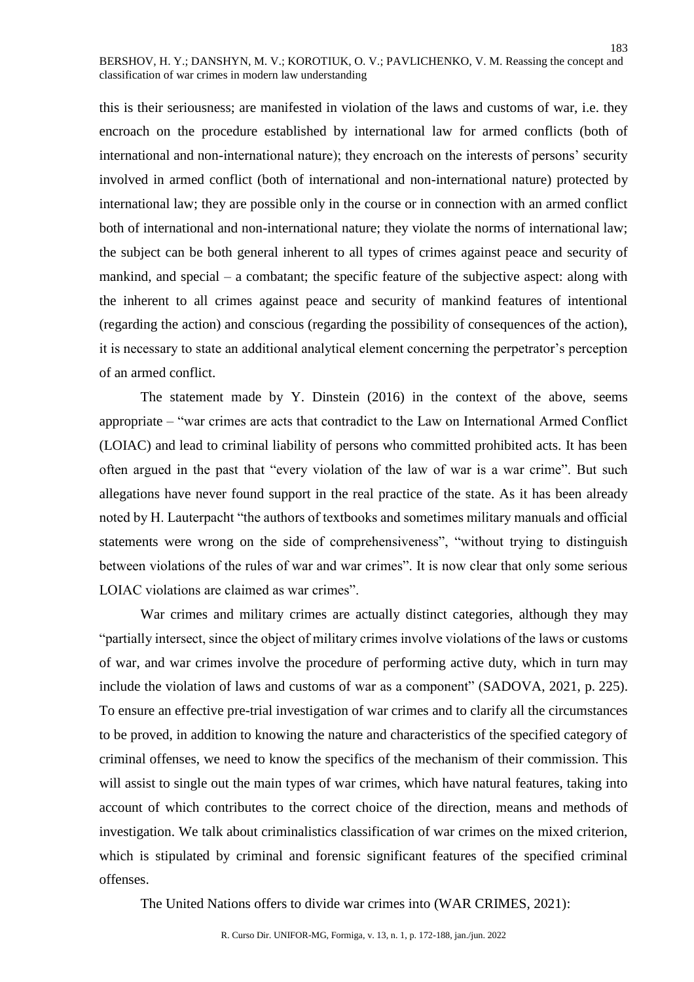this is their seriousness; are manifested in violation of the laws and customs of war, i.e. they encroach on the procedure established by international law for armed conflicts (both of international and non-international nature); they encroach on the interests of persons' security involved in armed conflict (both of international and non-international nature) protected by international law; they are possible only in the course or in connection with an armed conflict both of international and non-international nature; they violate the norms of international law; the subject can be both general inherent to all types of crimes against peace and security of mankind, and special – a combatant; the specific feature of the subjective aspect: along with the inherent to all crimes against peace and security of mankind features of intentional (regarding the action) and conscious (regarding the possibility of consequences of the action), it is necessary to state an additional analytical element concerning the perpetrator's perception of an armed conflict.

The statement made by Y. Dinstein (2016) in the context of the above, seems appropriate – "war crimes are acts that contradict to the Law on International Armed Conflict (LOIAC) and lead to criminal liability of persons who committed prohibited acts. It has been often argued in the past that "every violation of the law of war is a war crime". But such allegations have never found support in the real practice of the state. As it has been already noted by H. Lauterpacht "the authors of textbooks and sometimes military manuals and official statements were wrong on the side of comprehensiveness", "without trying to distinguish between violations of the rules of war and war crimes". It is now clear that only some serious LOIAC violations are claimed as war crimes".

War crimes and military crimes are actually distinct categories, although they may "partially intersect, since the object of military crimes involve violations of the laws or customs of war, and war crimes involve the procedure of performing active duty, which in turn may include the violation of laws and customs of war as a component" (SADOVA, 2021, p. 225). To ensure an effective pre-trial investigation of war crimes and to clarify all the circumstances to be proved, in addition to knowing the nature and characteristics of the specified category of criminal offenses, we need to know the specifics of the mechanism of their commission. This will assist to single out the main types of war crimes, which have natural features, taking into account of which contributes to the correct choice of the direction, means and methods of investigation. We talk about criminalistics classification of war crimes on the mixed criterion, which is stipulated by criminal and forensic significant features of the specified criminal offenses.

The United Nations offers to divide war crimes into (WAR CRIMES, 2021):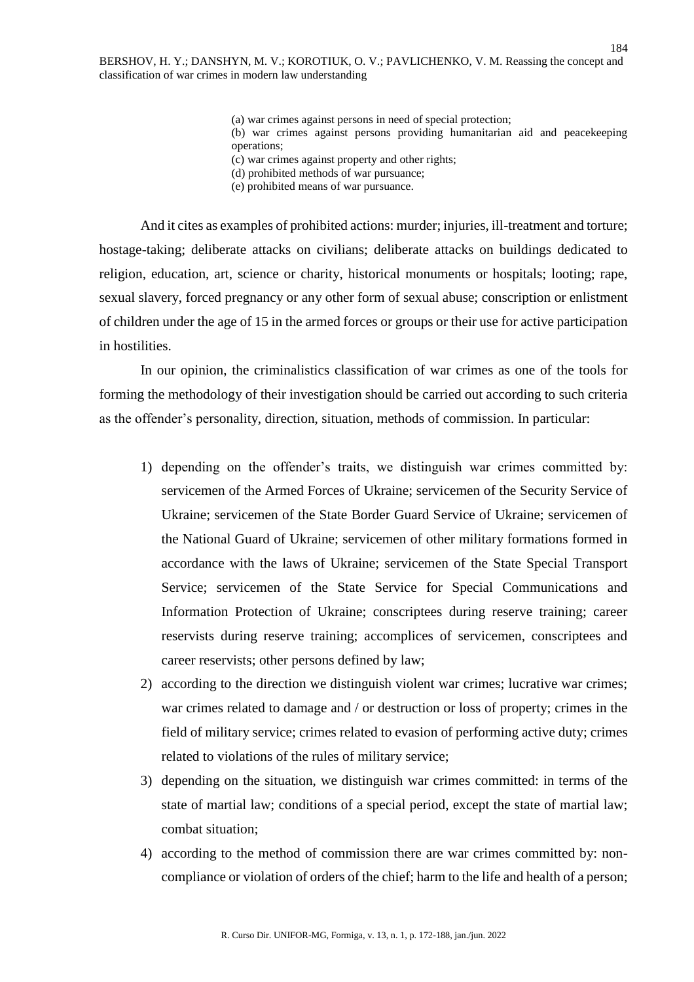(a) war crimes against persons in need of special protection; (b) war crimes against persons providing humanitarian aid and peacekeeping operations; (c) war crimes against property and other rights;

(d) prohibited methods of war pursuance;

(e) prohibited means of war pursuance.

And it cites as examples of prohibited actions: murder; injuries, ill-treatment and torture; hostage-taking; deliberate attacks on civilians; deliberate attacks on buildings dedicated to religion, education, art, science or charity, historical monuments or hospitals; looting; rape, sexual slavery, forced pregnancy or any other form of sexual abuse; conscription or enlistment of children under the age of 15 in the armed forces or groups or their use for active participation in hostilities.

In our opinion, the criminalistics classification of war crimes as one of the tools for forming the methodology of their investigation should be carried out according to such criteria as the offender's personality, direction, situation, methods of commission. In particular:

- 1) depending on the offender's traits, we distinguish war crimes committed by: servicemen of the Armed Forces of Ukraine; servicemen of the Security Service of Ukraine; servicemen of the State Border Guard Service of Ukraine; servicemen of the National Guard of Ukraine; servicemen of other military formations formed in accordance with the laws of Ukraine; servicemen of the State Special Transport Service; servicemen of the State Service for Special Communications and Information Protection of Ukraine; conscriptees during reserve training; career reservists during reserve training; accomplices of servicemen, conscriptees and career reservists; other persons defined by law;
- 2) according to the direction we distinguish violent war crimes; lucrative war crimes; war crimes related to damage and / or destruction or loss of property; crimes in the field of military service; crimes related to evasion of performing active duty; crimes related to violations of the rules of military service;
- 3) depending on the situation, we distinguish war crimes committed: in terms of the state of martial law; conditions of a special period, except the state of martial law; combat situation;
- 4) according to the method of commission there are war crimes committed by: noncompliance or violation of orders of the chief; harm to the life and health of a person;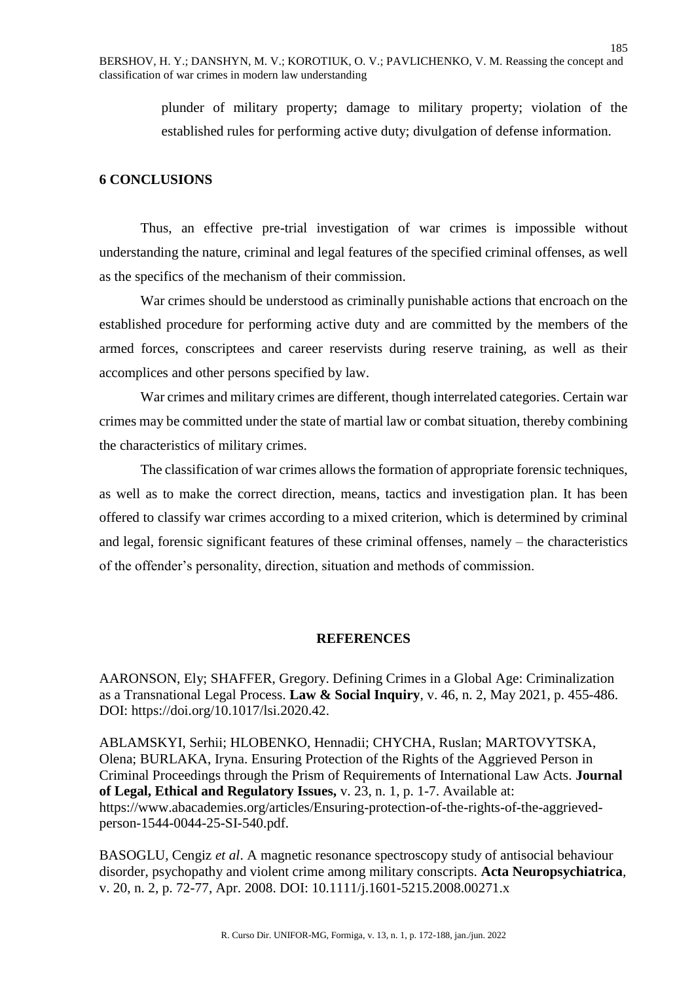plunder of military property; damage to military property; violation of the established rules for performing active duty; divulgation of defense information.

# **6 CONCLUSIONS**

Thus, an effective pre-trial investigation of war crimes is impossible without understanding the nature, criminal and legal features of the specified criminal offenses, as well as the specifics of the mechanism of their commission.

War crimes should be understood as criminally punishable actions that encroach on the established procedure for performing active duty and are committed by the members of the armed forces, conscriptees and career reservists during reserve training, as well as their accomplices and other persons specified by law.

War crimes and military crimes are different, though interrelated categories. Certain war crimes may be committed under the state of martial law or combat situation, thereby combining the characteristics of military crimes.

The classification of war crimes allows the formation of appropriate forensic techniques, as well as to make the correct direction, means, tactics and investigation plan. It has been offered to classify war crimes according to a mixed criterion, which is determined by criminal and legal, forensic significant features of these criminal offenses, namely – the characteristics of the offender's personality, direction, situation and methods of commission.

# **REFERENCES**

AARONSON, Ely; SHAFFER, Gregory. Defining Crimes in a Global Age: Criminalization as a Transnational Legal Process. **Law & Social Inquiry***,* v. 46, n. 2, May 2021, p. 455-486. DOI: [https://doi.org/10.1017/lsi.2020.42.](https://doi.org/10.1017/lsi.2020.42)

ABLAMSKYI, Serhii; HLOBENKO, Hennadii; CHYCHA, Ruslan; MARTOVYTSKA, Olena; BURLAKA, Iryna. Ensuring Protection of the Rights of the Aggrieved Person in Criminal Proceedings through the Prism of Requirements of International Law Acts. **Journal of Legal, Ethical and Regulatory Issues,** v. 23, n. 1, p. 1-7. Available at: [https://www.abacademies.org/articles/Ensuring-protection-of-the-rights-of-the-aggrieved](https://www.abacademies.org/articles/Ensuring-protection-of-the-rights-of-the-aggrieved-person-1544-0044-25-SI-540.pdf)[person-1544-0044-25-SI-540.pdf.](https://www.abacademies.org/articles/Ensuring-protection-of-the-rights-of-the-aggrieved-person-1544-0044-25-SI-540.pdf)

BASOGLU, [Cengiz](https://pubmed.ncbi.nlm.nih.gov/?term=Basoglu+C&cauthor_id=25385466) *et al*. A magnetic resonance spectroscopy study of antisocial behaviour disorder, psychopathy and violent crime among military conscripts. **Acta Neuropsychiatrica***,* v. 20, n. 2, p. 72-77, Apr. 2008. DOI: 10.1111/j.1601-5215.2008.00271.x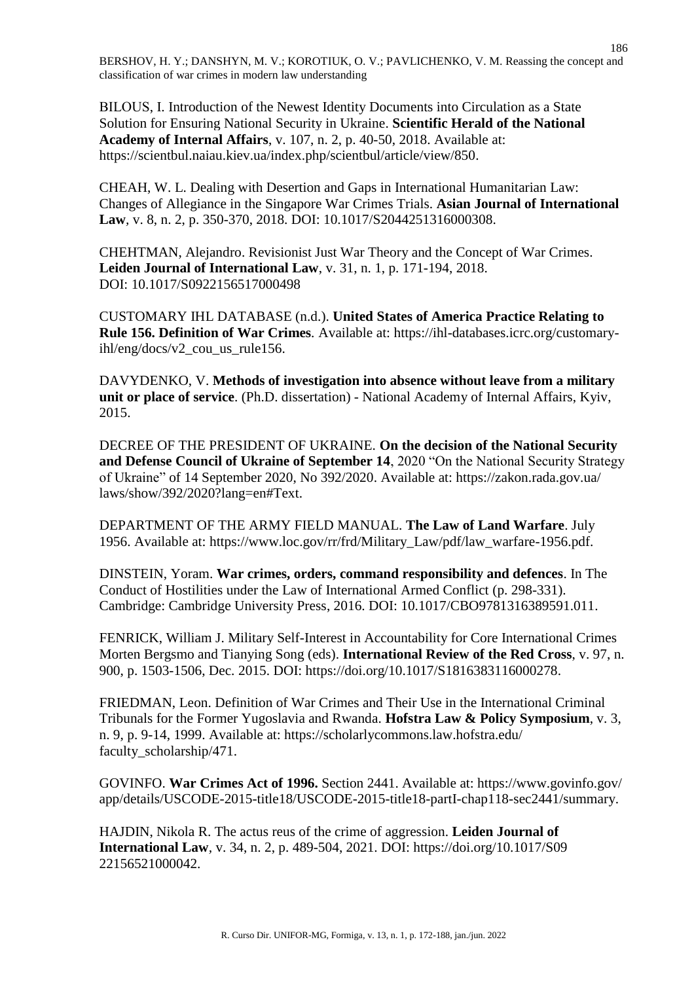BІLOUS, I. Introduction of the Newest Identity Documents into Circulation as a State Solution for Ensuring National Security in Ukraine. **Scientific Herald of the National Academy of Internal Affairs**, v. 107, n. 2, p. 40-50, 2018. Available at: https://scientbul.naiau.kiev.ua/index.php/scientbul/article/view/850.

CHEAH, W. L. Dealing with Desertion and Gaps in International Humanitarian Law: Changes of Allegiance in the Singapore War Crimes Trials. **Asian Journal of International Law***,* v. 8, n. 2, p. 350-370, 2018. DOI: 10.1017/S2044251316000308.

CHEHTMAN, [Alejandro.](https://www.cambridge.org/core/search?filters%5BauthorTerms%5D=ALEJANDRO%20CHEHTMAN&eventCode=SE-AU) Revisionist Just War Theory and the Concept of War Crimes. **Leiden Journal of International Law**, v. 31, n. 1, p. 171-194, 2018. DOI: 10.1017/S0922156517000498

CUSTOMARY IHL DATABASE (n.d.). **United States of America Practice Relating to Rule 156. Definition of War Crimes***.* Available at: [https://ihl-databases.icrc.org/customary](https://ihl-databases.icrc.org/customary-ihl/eng/docs/v2_cou_us_rule156)[ihl/eng/docs/v2\\_cou\\_us\\_rule156.](https://ihl-databases.icrc.org/customary-ihl/eng/docs/v2_cou_us_rule156)

DAVYDENKO, V. **Methods of investigation into absence without leave from a military unit or place of service**. (Ph.D. dissertation) - National Academy of Internal Affairs, Kyiv, 2015.

DECREE OF THE PRESIDENT OF UKRAINE. **On the decision of the National Security and Defense Council of Ukraine of September 14**, 2020 "On the National Security Strategy of Ukraine" of 14 September 2020, No 392/2020. Available at: https://zakon.rada.gov.ua/ laws/show/392/2020?lang=en#Text.

DEPARTMENT OF THE ARMY FIELD MANUAL. **The Law of Land Warfare**. July 1956. Available at: https://www.loc.gov/rr/frd/Military\_Law/pdf/law\_warfare-1956.pdf.

DINSTEIN, [Yoram.](https://www.cambridge.org/core/search?filters%5BauthorTerms%5D=Yoram%20Dinstein&eventCode=SE-AU) **War crimes, orders, command responsibility and defences**. In The Conduct of Hostilities under the Law of International Armed Conflict (p. 298-331). Cambridge: Cambridge University Press, 2016. DOI: 10.1017/CBO9781316389591.011.

FENRICK, William J. Military Self-Interest in Accountability for Core International Crimes Morten Bergsmo and Tianying Song (eds). **International Review of the Red Cross**, v. 97, n. 900, p. 1503-1506, Dec. 2015. DOI: [https://doi.org/10.1017/S1816383116000278.](https://doi.org/10.1017/S1816383116000278)

FRIEDMAN, Leon. Definition of War Crimes and Their Use in the International Criminal Tribunals for the Former Yugoslavia and Rwanda. **Hofstra Law & Policy Symposium**, v. 3, n. 9, p. 9-14, 1999. Available at: https://scholarlycommons.law.hofstra.edu/ faculty\_scholarship/471.

GOVINFO. **War Crimes Act of 1996.** Section 2441. Available at: https://www.govinfo.gov/ app/details/USCODE-2015-title18/USCODE-2015-title18-partI-chap118-sec2441/summary.

HAJDIN, [Nikola R.](https://www.cambridge.org/core/search?filters%5BauthorTerms%5D=Nikola%20R.%20Hajdin&eventCode=SE-AU) The actus reus of the crime of aggression. **Leiden Journal of International Law***,* v. 34, n. 2, p. 489-504, 2021. DOI: [https://doi.org/10.1017/S09](https://doi.org/10.1017/S0922156521000042) [22156521000042.](https://doi.org/10.1017/S0922156521000042)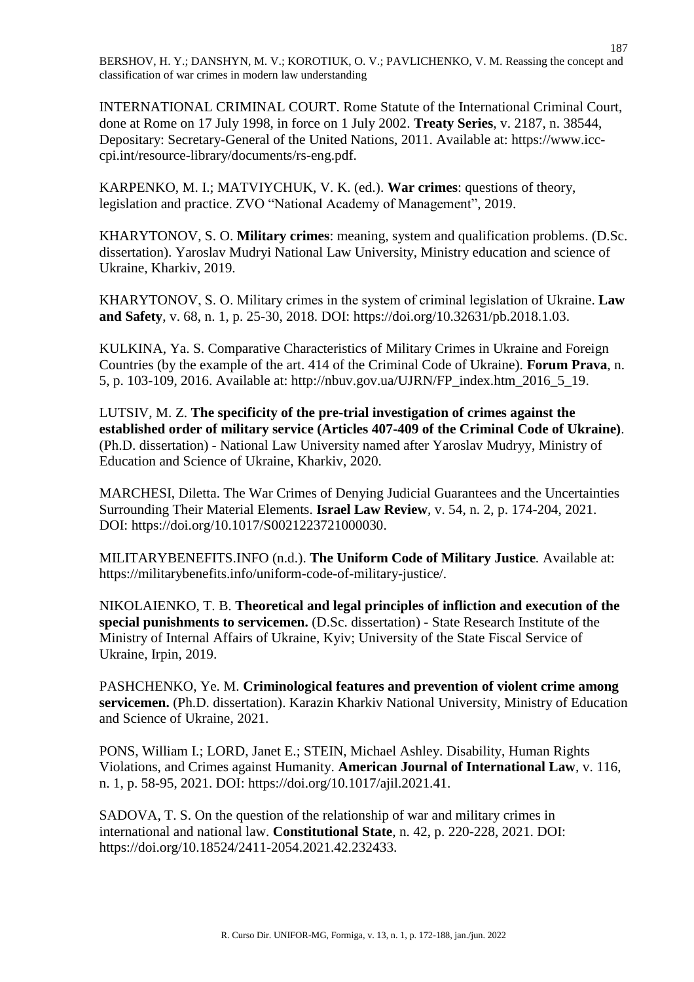INTERNATIONAL CRIMINAL COURT. Rome Statute of the International Criminal Court, done at Rome on 17 July 1998, in force on 1 July 2002. **Treaty Series**, v. 2187, n. 38544, Depositary: Secretary-General of the United Nations, 2011. Available at: https://www.icccpi.int/resource-library/documents/rs-eng.pdf.

KARPENKO, M. I.; MATVIYCHUK, V. K. (ed.). **War crimes**: questions of theory, legislation and practice. ZVO "National Academy of Management", 2019.

KHARYTONOV, S. O. **Military crimes**: meaning, system and qualification problems. (D.Sc. dissertation). Yaroslav Mudryi National Law University, Ministry education and science of Ukraine, Kharkiv, 2019.

KHARYTONOV, S. О. Military crimes in the system of criminal legislation of Ukraine. **Law and Safety**, v. 68, n. 1, p. 25-30, 2018. DOI: https://doi.org/10.32631/pb.2018.1.03.

KULKINA, Ya. S. Comparative Characteristics of Military Crimes in Ukraine and Foreign Countries (by the example of the art. 414 of the Criminal Code of Ukraine). **Forum Prava**, n. 5, p. 103-109, 2016. Available at: [http://nbuv.gov.ua/UJRN/FP\\_index.htm\\_2016\\_5\\_19.](http://www.irbis-nbuv.gov.ua/cgi-bin/irbis_nbuv/cgiirbis_64.exe?I21DBN=LINK&P21DBN=UJRN&Z21ID=&S21REF=10&S21CNR=20&S21STN=1&S21FMT=ASP_meta&C21COM=S&2_S21P03=FILA=&2_S21STR=FP_index)

LUTSIV, M. Z. **The specificity of the pre-trial investigation of crimes against the established order of military service (Articles 407-409 of the Criminal Code of Ukraine)**. (Ph.D. dissertation) - National Law University named after Yaroslav Mudryy, Ministry of Education and Science of Ukraine, Kharkiv, 2020.

MARCHESI, Diletta. The War Crimes of Denying Judicial Guarantees and the Uncertainties Surrounding Their Material Elements. **Israel Law Review***,* v. 54, n. 2, p. 174-204, 2021. DOI: [https://doi.org/10.1017/S0021223721000030.](https://doi.org/10.1017/S0021223721000030)

MILITARYBENEFITS.INFO (n.d.). **The Uniform Code of Military Justice***.* Available at: [https://militarybenefits.info/uniform-code-of-military-justice/.](https://militarybenefits.info/uniform-code-of-military-justice/)

NIKOLAIENKO, T. B. **Theoretical and legal principles of infliction and execution of the special punishments to servicemen.** (D.Sc. dissertation) - State Research Institute of the Ministry of Internal Affairs of Ukraine, Kyiv; University of the State Fiscal Service of Ukraine, Irpin, 2019.

PASHCHENKO, Ye. M. **Criminological features and prevention of violent crime among servicemen.** (Ph.D. dissertation). Karazin Kharkiv National University, Ministry of Education and Science of Ukraine, 2021.

PONS, [William I.;](https://www.cambridge.org/core/search?filters%5BauthorTerms%5D=William%20I.%20Pons&eventCode=SE-AU) LORD, Janet E.; STEIN, [Michael Ashley.](https://www.cambridge.org/core/search?filters%5BauthorTerms%5D=Michael%20Ashley%20Stein&eventCode=SE-AU) Disability, Human Rights Violations, and Crimes against Humanity. **American Journal of International Law***,* v. 116, n. 1, p. 58-95, 2021. DOI: [https://doi.org/10.1017/ajil.2021.41.](https://doi.org/10.1017/ajil.2021.41)

SADOVA, T. S. On the question of the relationship of war and military crimes in international and national law. **[Constitutional](http://pd.onu.edu.ua/index) State***,* n. 42, p. 220-228, 2021. DOI: [https://doi.org/10.18524/2411-2054.2021.42.232433.](https://doi.org/10.18524/2411-2054.2021.42.232433)